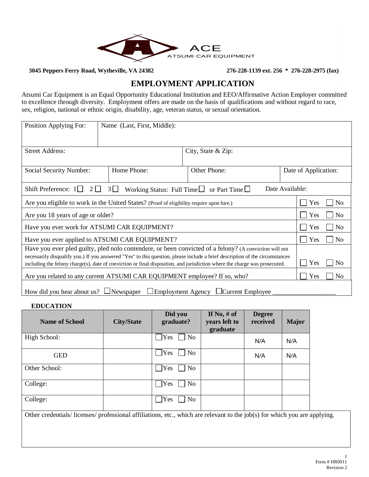

**3045 Peppers Ferry Road, Wytheville, VA 24382 276-228-1139 ext. 256 \* 276-228-2975 (fax)**

## **EMPLOYMENT APPLICATION**

Atsumi Car Equipment is an Equal Opportunity Educational Institution and EEO/Affirmative Action Employer committed to excellence through diversity. Employment offers are made on the basis of qualifications and without regard to race, sex, religion, national or ethnic origin, disability, age, veteran status, or sexual orientation.

| Position Applying For:                                                                                                                                                                                                                                     | Name (Last, First, Middle): |                    |                      |                       |  |
|------------------------------------------------------------------------------------------------------------------------------------------------------------------------------------------------------------------------------------------------------------|-----------------------------|--------------------|----------------------|-----------------------|--|
| <b>Street Address:</b>                                                                                                                                                                                                                                     |                             | City, State & Zip: |                      |                       |  |
| Social Security Number:                                                                                                                                                                                                                                    | Home Phone:                 | Other Phone:       | Date of Application: |                       |  |
| Working Status: Full Time $\Box$ or Part Time $\Box$<br>Date Available:<br>Shift Preference: $1\Box$<br>$2 \Box$<br>$3 \mid \mid$                                                                                                                          |                             |                    |                      |                       |  |
| Are you eligible to work in the United States? (Proof of eligibility require upon hire.)                                                                                                                                                                   |                             |                    |                      | Yes<br>N <sub>0</sub> |  |
| Are you 18 years of age or older?                                                                                                                                                                                                                          |                             |                    |                      | N <sub>o</sub><br>Yes |  |
| Have you ever work for ATSUMI CAR EQUIPMENT?                                                                                                                                                                                                               |                             |                    |                      | N <sub>o</sub><br>Yes |  |
| Have you ever applied to ATSUMI CAR EQUIPMENT?                                                                                                                                                                                                             |                             |                    |                      | Yes<br>N <sub>0</sub> |  |
| Have you ever pled guilty, pled nolo contendere, or been convicted of a felony? (A conviction will not                                                                                                                                                     |                             |                    |                      |                       |  |
| necessarily disqualify you.) If you answered "Yes" to this question, please include a brief description of the circumstances<br>including the felony charge(s), date of conviction or final disposition, and jurisdiction where the charge was prosecuted. |                             |                    |                      | Yes<br>N <sub>0</sub> |  |
| Are you related to any current ATSUMI CAR EQUIPMENT employee? If so, who?                                                                                                                                                                                  |                             |                    |                      | Yes<br>N <sub>0</sub> |  |
| How did you hear about us? $\Box$ Newspaper $\Box$ Employment Agency $\Box$ Current Employee                                                                                                                                                               |                             |                    |                      |                       |  |

**EDUCATION**

| <b>Name of School</b> | <b>City/State</b> | Did you<br>graduate?         | If No, $#$ of<br>years left to<br>graduate | <b>Degree</b><br>received | <b>Major</b> |
|-----------------------|-------------------|------------------------------|--------------------------------------------|---------------------------|--------------|
| High School:          |                   | Yes<br>No                    |                                            | N/A                       | N/A          |
| <b>GED</b>            |                   | <b>Yes</b><br>N <sub>o</sub> |                                            | N/A                       | N/A          |
| Other School:         |                   | Yes<br>No                    |                                            |                           |              |
| College:              |                   | Yes<br>No                    |                                            |                           |              |
| College:              |                   | N <sub>o</sub><br>Yes        |                                            |                           |              |

Other credentials/ licenses/ professional affiliations, etc., which are relevant to the job(s) for which you are applying.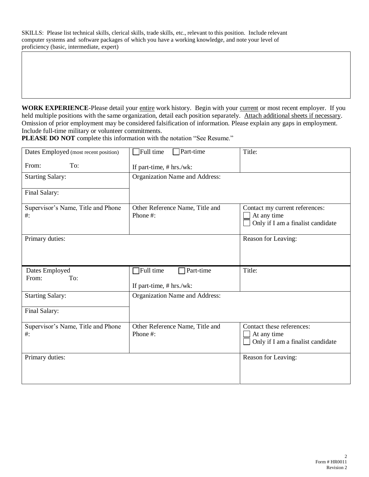SKILLS: Please list technical skills, clerical skills, trade skills, etc., relevant to this position. Include relevant computer systems and software packages of which you have a working knowledge, and note your level of proficiency (basic, intermediate, expert)

**WORK EXPERIENCE**-Please detail your entire work history. Begin with your current or most recent employer. If you held multiple positions with the same organization, detail each position separately. Attach additional sheets if necessary. Omission of prior employment may be considered falsification of information. Please explain any gaps in employment. Include full-time military or volunteer commitments.

PLEASE DO NOT complete this information with the notation "See Resume."

| Dates Employed (most recent position)        | Full time<br>$\Box$ Part-time                      | Title:                                                                             |
|----------------------------------------------|----------------------------------------------------|------------------------------------------------------------------------------------|
| To:<br>From:                                 | If part-time, # hrs./wk:                           |                                                                                    |
| <b>Starting Salary:</b>                      | Organization Name and Address:                     |                                                                                    |
| Final Salary:                                |                                                    |                                                                                    |
| Supervisor's Name, Title and Phone<br>$#$ :  | Other Reference Name, Title and<br>Phone #:        | Contact my current references:<br>At any time<br>Only if I am a finalist candidate |
| Primary duties:                              |                                                    | Reason for Leaving:                                                                |
| Dates Employed<br>To:<br>From:               | Full time<br>Part-time<br>If part-time, # hrs./wk: | Title:                                                                             |
| <b>Starting Salary:</b>                      | Organization Name and Address:                     |                                                                                    |
| Final Salary:                                |                                                    |                                                                                    |
| Supervisor's Name, Title and Phone<br>$\#$ : | Other Reference Name, Title and<br>Phone #:        | Contact these references:<br>At any time<br>Only if I am a finalist candidate      |
| Primary duties:                              |                                                    | Reason for Leaving:                                                                |